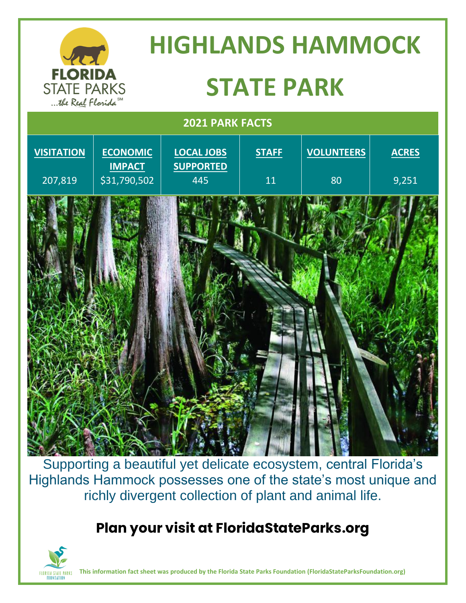

Supporting a beautiful yet delicate ecosystem, central Florida's Highlands Hammock possesses one of the state's most unique and richly divergent collection of plant and animal life.

## **Plan your visit at FloridaStateParks.org**



**This information fact sheet was produced by the Florida State Parks Foundation (FloridaStateParksFoundation.org)**